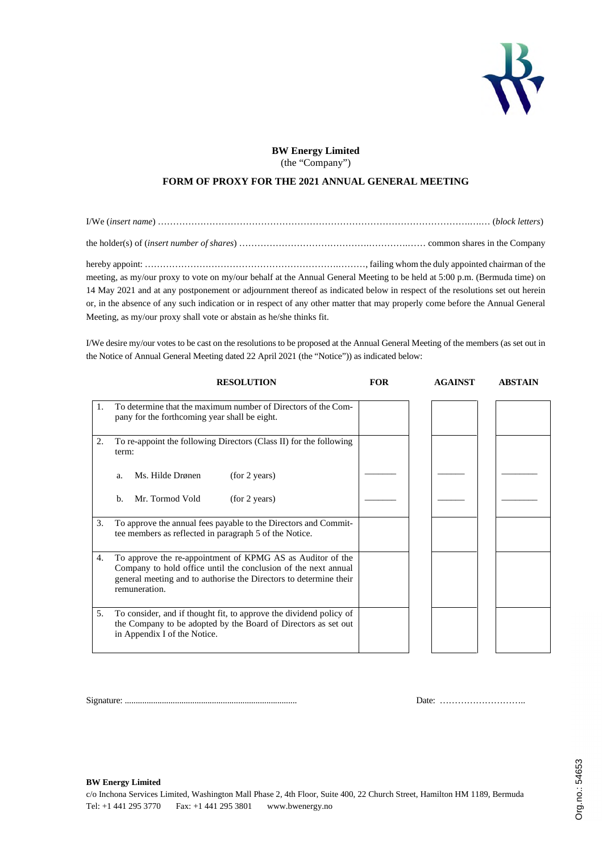

## **BW Energy Limited** (the "Company")

## **FORM OF PROXY FOR THE 2021 ANNUAL GENERAL MEETING**

I/We (*insert name*) ………………………………………………………………………………………….….… (*block letters*) the holder(s) of (*insert number of shares*) …………………………………….………….…… common shares in the Company hereby appoint: ……………………………………………………….………, failing whom the duly appointed chairman of the meeting, as my/our proxy to vote on my/our behalf at the Annual General Meeting to be held at 5:00 p.m. (Bermuda time) on 14 May 2021 and at any postponement or adjournment thereof as indicated below in respect of the resolutions set out herein or, in the absence of any such indication or in respect of any other matter that may properly come before the Annual General Meeting, as my/our proxy shall vote or abstain as he/she thinks fit.

I/We desire my/our votes to be cast on the resolutions to be proposed at the Annual General Meeting of the members (as set out in the Notice of Annual General Meeting dated 22 April 2021 (the "Notice")) as indicated below:

|    | <b>RESOLUTION</b>                                                                                                                                                                                                  | <b>FOR</b> | <b>AGAINST</b> | <b>ABSTAIN</b> |
|----|--------------------------------------------------------------------------------------------------------------------------------------------------------------------------------------------------------------------|------------|----------------|----------------|
| 1. | To determine that the maximum number of Directors of the Com-<br>pany for the forthcoming year shall be eight.                                                                                                     |            |                |                |
| 2. | To re-appoint the following Directors (Class II) for the following<br>term:                                                                                                                                        |            |                |                |
|    | (for 2 years)<br>Ms. Hilde Drønen<br>a.                                                                                                                                                                            |            |                |                |
|    | Mr. Tormod Vold<br>(for 2 years)<br>b.                                                                                                                                                                             |            |                |                |
| 3. | To approve the annual fees payable to the Directors and Commit-<br>tee members as reflected in paragraph 5 of the Notice.                                                                                          |            |                |                |
| 4. | To approve the re-appointment of KPMG AS as Auditor of the<br>Company to hold office until the conclusion of the next annual<br>general meeting and to authorise the Directors to determine their<br>remuneration. |            |                |                |
| 5. | To consider, and if thought fit, to approve the dividend policy of<br>the Company to be adopted by the Board of Directors as set out<br>in Appendix I of the Notice.                                               |            |                |                |

Signature: ............................................................................... Date: ………………………..